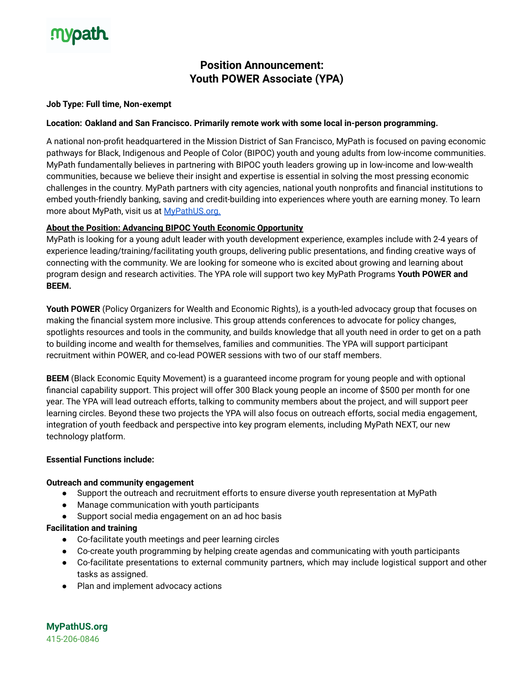# **mypath**

# **Position Announcement: Youth POWER Associate (YPA)**

# **Job Type: Full time, Non-exempt**

### **Location: Oakland and San Francisco. Primarily remote work with some local in-person programming.**

A national non-profit headquartered in the Mission District of San Francisco, MyPath is focused on paving economic pathways for Black, Indigenous and People of Color (BIPOC) youth and young adults from low-income communities. MyPath fundamentally believes in partnering with BIPOC youth leaders growing up in low-income and low-wealth communities, because we believe their insight and expertise is essential in solving the most pressing economic challenges in the country. MyPath partners with city agencies, national youth nonprofits and financial institutions to embed youth-friendly banking, saving and credit-building into experiences where youth are earning money. To learn more about MyPath, visit us at [MyPathUS.org.](http://mypathus.org)

# **About the Position: Advancing BIPOC Youth Economic Opportunity**

MyPath is looking for a young adult leader with youth development experience, examples include with 2-4 years of experience leading/training/facilitating youth groups, delivering public presentations, and finding creative ways of connecting with the community. We are looking for someone who is excited about growing and learning about program design and research activities. The YPA role will support two key MyPath Programs **Youth POWER and BEEM.**

**Youth POWER** (Policy Organizers for Wealth and Economic Rights), is a youth-led advocacy group that focuses on making the financial system more inclusive. This group attends conferences to advocate for policy changes, spotlights resources and tools in the community, and builds knowledge that all youth need in order to get on a path to building income and wealth for themselves, families and communities. The YPA will support participant recruitment within POWER, and co-lead POWER sessions with two of our staff members.

**BEEM** (Black Economic Equity Movement) is a guaranteed income program for young people and with optional financial capability support. This project will offer 300 Black young people an income of \$500 per month for one year. The YPA will lead outreach efforts, talking to community members about the project, and will support peer learning circles. Beyond these two projects the YPA will also focus on outreach efforts, social media engagement, integration of youth feedback and perspective into key program elements, including MyPath NEXT, our new technology platform.

#### **Essential Functions include:**

#### **Outreach and community engagement**

- Support the outreach and recruitment efforts to ensure diverse youth representation at MyPath
- Manage communication with youth participants
- Support social media engagement on an ad hoc basis

#### **Facilitation and training**

- Co-facilitate youth meetings and peer learning circles
- Co-create youth programming by helping create agendas and communicating with youth participants
- Co-facilitate presentations to external community partners, which may include logistical support and other tasks as assigned.
- Plan and implement advocacy actions

**MyPathUS.org** 415-206-0846